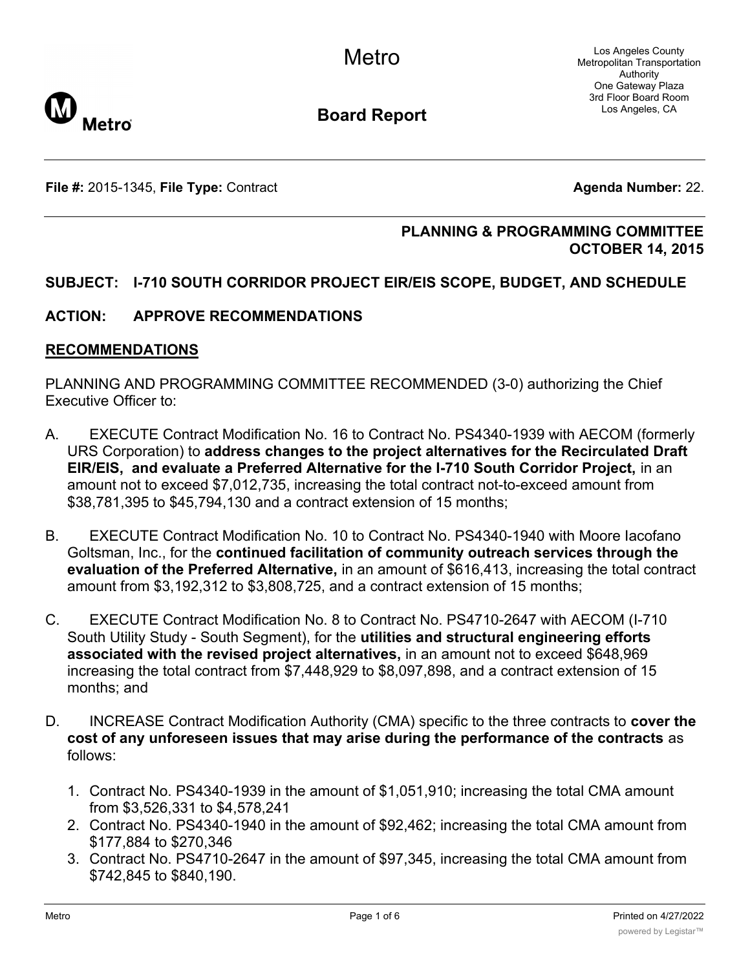

**Board Report**

**File #:** 2015-1345, File Type: Contract **Agents Agenda Number:** 22.

## **PLANNING & PROGRAMMING COMMITTEE OCTOBER 14, 2015**

## **SUBJECT: I-710 SOUTH CORRIDOR PROJECT EIR/EIS SCOPE, BUDGET, AND SCHEDULE**

## **ACTION: APPROVE RECOMMENDATIONS**

#### **RECOMMENDATIONS**

PLANNING AND PROGRAMMING COMMITTEE RECOMMENDED (3-0) authorizing the Chief Executive Officer to:

- A. EXECUTE Contract Modification No. 16 to Contract No. PS4340-1939 with AECOM (formerly URS Corporation) to **address changes to the project alternatives for the Recirculated Draft EIR/EIS, and evaluate a Preferred Alternative for the I-710 South Corridor Project,** in an amount not to exceed \$7,012,735, increasing the total contract not-to-exceed amount from \$38,781,395 to \$45,794,130 and a contract extension of 15 months;
- B. EXECUTE Contract Modification No. 10 to Contract No. PS4340-1940 with Moore Iacofano Goltsman, Inc., for the **continued facilitation of community outreach services through the evaluation of the Preferred Alternative,** in an amount of \$616,413, increasing the total contract amount from \$3,192,312 to \$3,808,725, and a contract extension of 15 months;
- C. EXECUTE Contract Modification No. 8 to Contract No. PS4710-2647 with AECOM (I-710 South Utility Study - South Segment), for the **utilities and structural engineering efforts associated with the revised project alternatives,** in an amount not to exceed \$648,969 increasing the total contract from \$7,448,929 to \$8,097,898, and a contract extension of 15 months; and
- D. INCREASE Contract Modification Authority (CMA) specific to the three contracts to **cover the cost of any unforeseen issues that may arise during the performance of the contracts** as follows:
	- 1. Contract No. PS4340-1939 in the amount of \$1,051,910; increasing the total CMA amount from \$3,526,331 to \$4,578,241
	- 2. Contract No. PS4340-1940 in the amount of \$92,462; increasing the total CMA amount from \$177,884 to \$270,346
	- 3. Contract No. PS4710-2647 in the amount of \$97,345, increasing the total CMA amount from \$742,845 to \$840,190.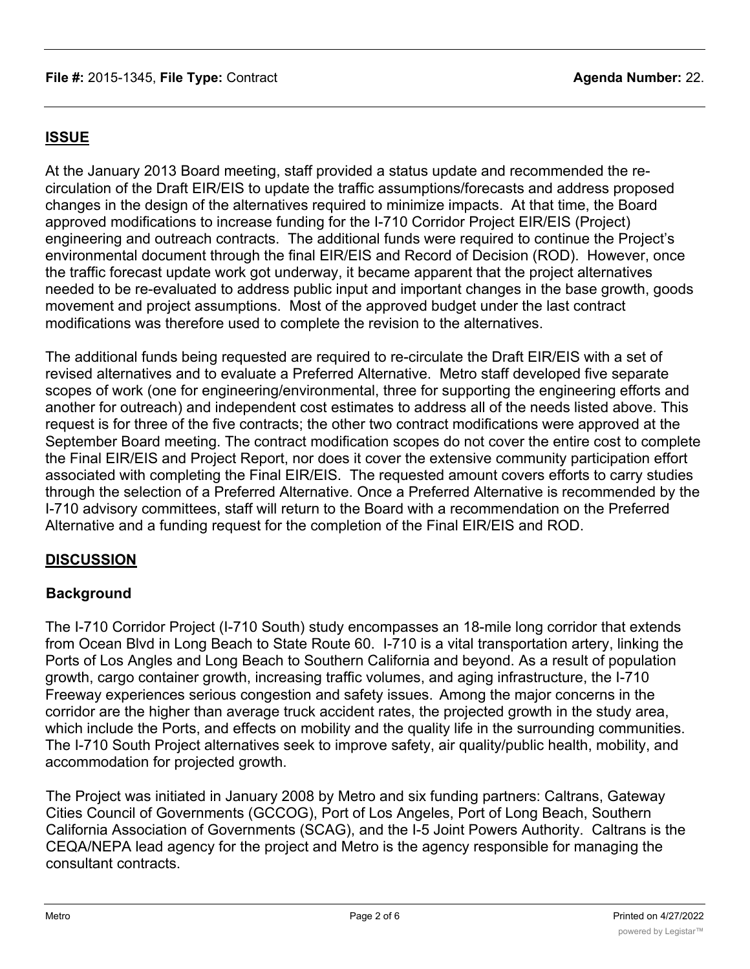# **ISSUE**

At the January 2013 Board meeting, staff provided a status update and recommended the recirculation of the Draft EIR/EIS to update the traffic assumptions/forecasts and address proposed changes in the design of the alternatives required to minimize impacts. At that time, the Board approved modifications to increase funding for the I-710 Corridor Project EIR/EIS (Project) engineering and outreach contracts. The additional funds were required to continue the Project's environmental document through the final EIR/EIS and Record of Decision (ROD). However, once the traffic forecast update work got underway, it became apparent that the project alternatives needed to be re-evaluated to address public input and important changes in the base growth, goods movement and project assumptions. Most of the approved budget under the last contract modifications was therefore used to complete the revision to the alternatives.

The additional funds being requested are required to re-circulate the Draft EIR/EIS with a set of revised alternatives and to evaluate a Preferred Alternative. Metro staff developed five separate scopes of work (one for engineering/environmental, three for supporting the engineering efforts and another for outreach) and independent cost estimates to address all of the needs listed above. This request is for three of the five contracts; the other two contract modifications were approved at the September Board meeting. The contract modification scopes do not cover the entire cost to complete the Final EIR/EIS and Project Report, nor does it cover the extensive community participation effort associated with completing the Final EIR/EIS. The requested amount covers efforts to carry studies through the selection of a Preferred Alternative. Once a Preferred Alternative is recommended by the I-710 advisory committees, staff will return to the Board with a recommendation on the Preferred Alternative and a funding request for the completion of the Final EIR/EIS and ROD.

## **DISCUSSION**

## **Background**

The I-710 Corridor Project (I-710 South) study encompasses an 18-mile long corridor that extends from Ocean Blvd in Long Beach to State Route 60. I-710 is a vital transportation artery, linking the Ports of Los Angles and Long Beach to Southern California and beyond. As a result of population growth, cargo container growth, increasing traffic volumes, and aging infrastructure, the I-710 Freeway experiences serious congestion and safety issues. Among the major concerns in the corridor are the higher than average truck accident rates, the projected growth in the study area, which include the Ports, and effects on mobility and the quality life in the surrounding communities. The I-710 South Project alternatives seek to improve safety, air quality/public health, mobility, and accommodation for projected growth.

The Project was initiated in January 2008 by Metro and six funding partners: Caltrans, Gateway Cities Council of Governments (GCCOG), Port of Los Angeles, Port of Long Beach, Southern California Association of Governments (SCAG), and the I-5 Joint Powers Authority. Caltrans is the CEQA/NEPA lead agency for the project and Metro is the agency responsible for managing the consultant contracts.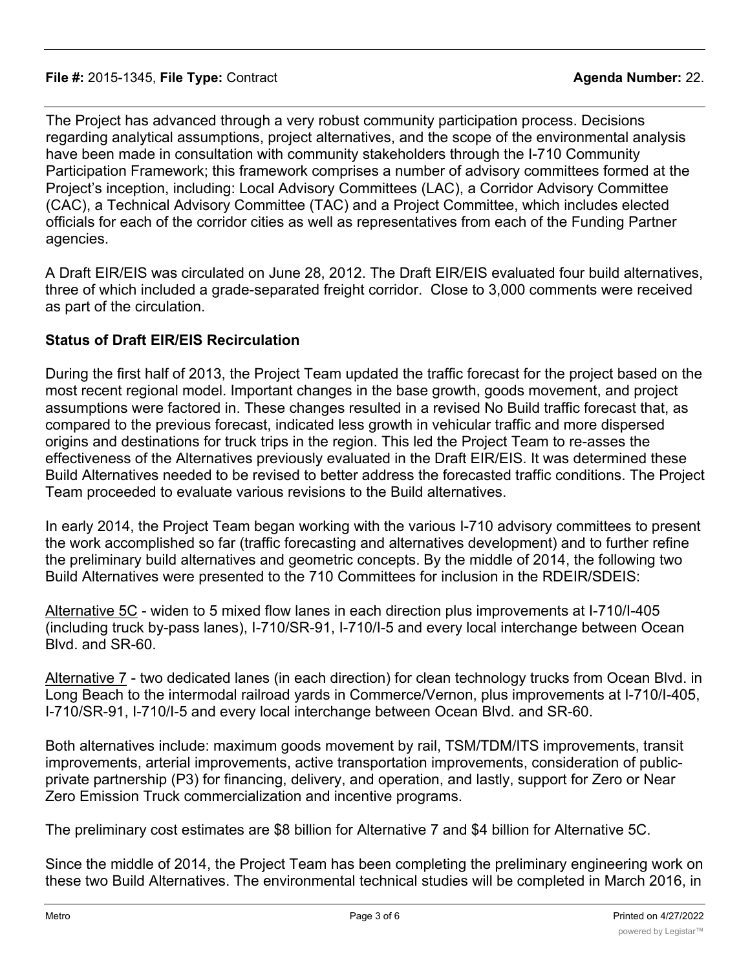The Project has advanced through a very robust community participation process. Decisions regarding analytical assumptions, project alternatives, and the scope of the environmental analysis have been made in consultation with community stakeholders through the I-710 Community Participation Framework; this framework comprises a number of advisory committees formed at the Project's inception, including: Local Advisory Committees (LAC), a Corridor Advisory Committee (CAC), a Technical Advisory Committee (TAC) and a Project Committee, which includes elected officials for each of the corridor cities as well as representatives from each of the Funding Partner agencies.

A Draft EIR/EIS was circulated on June 28, 2012. The Draft EIR/EIS evaluated four build alternatives, three of which included a grade-separated freight corridor. Close to 3,000 comments were received as part of the circulation.

## **Status of Draft EIR/EIS Recirculation**

During the first half of 2013, the Project Team updated the traffic forecast for the project based on the most recent regional model. Important changes in the base growth, goods movement, and project assumptions were factored in. These changes resulted in a revised No Build traffic forecast that, as compared to the previous forecast, indicated less growth in vehicular traffic and more dispersed origins and destinations for truck trips in the region. This led the Project Team to re-asses the effectiveness of the Alternatives previously evaluated in the Draft EIR/EIS. It was determined these Build Alternatives needed to be revised to better address the forecasted traffic conditions. The Project Team proceeded to evaluate various revisions to the Build alternatives.

In early 2014, the Project Team began working with the various I-710 advisory committees to present the work accomplished so far (traffic forecasting and alternatives development) and to further refine the preliminary build alternatives and geometric concepts. By the middle of 2014, the following two Build Alternatives were presented to the 710 Committees for inclusion in the RDEIR/SDEIS:

Alternative 5C - widen to 5 mixed flow lanes in each direction plus improvements at I-710/I-405 (including truck by-pass lanes), I-710/SR-91, I-710/I-5 and every local interchange between Ocean Blvd. and SR-60.

Alternative 7 - two dedicated lanes (in each direction) for clean technology trucks from Ocean Blvd. in Long Beach to the intermodal railroad yards in Commerce/Vernon, plus improvements at I-710/I-405, I-710/SR-91, I-710/I-5 and every local interchange between Ocean Blvd. and SR-60.

Both alternatives include: maximum goods movement by rail, TSM/TDM/ITS improvements, transit improvements, arterial improvements, active transportation improvements, consideration of publicprivate partnership (P3) for financing, delivery, and operation, and lastly, support for Zero or Near Zero Emission Truck commercialization and incentive programs.

The preliminary cost estimates are \$8 billion for Alternative 7 and \$4 billion for Alternative 5C.

Since the middle of 2014, the Project Team has been completing the preliminary engineering work on these two Build Alternatives. The environmental technical studies will be completed in March 2016, in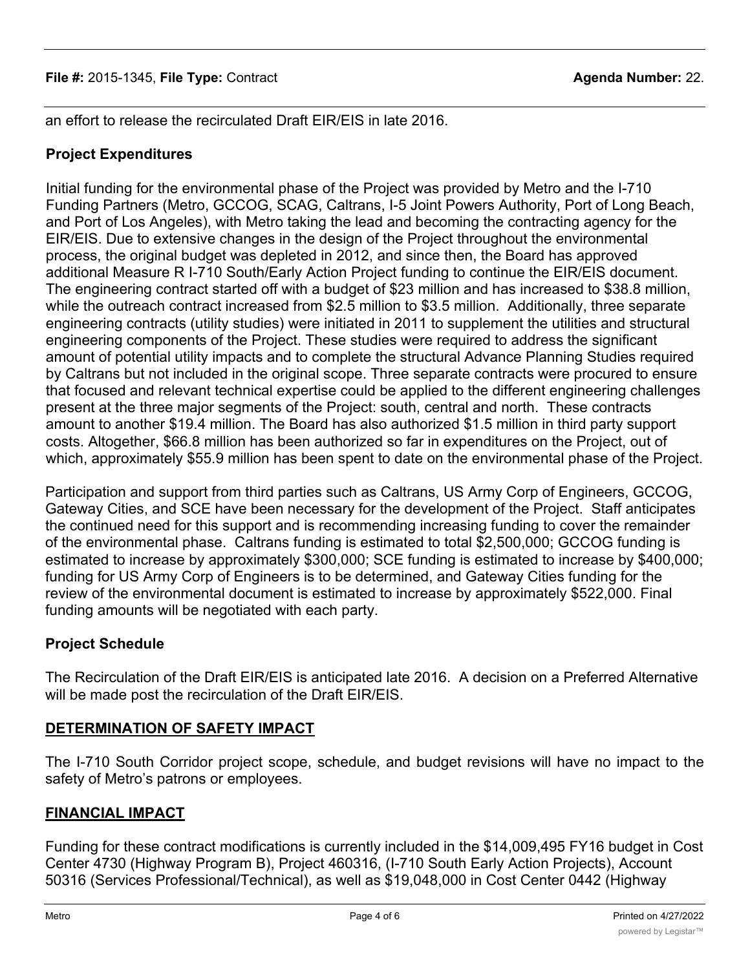an effort to release the recirculated Draft EIR/EIS in late 2016.

# **Project Expenditures**

Initial funding for the environmental phase of the Project was provided by Metro and the I-710 Funding Partners (Metro, GCCOG, SCAG, Caltrans, I-5 Joint Powers Authority, Port of Long Beach, and Port of Los Angeles), with Metro taking the lead and becoming the contracting agency for the EIR/EIS. Due to extensive changes in the design of the Project throughout the environmental process, the original budget was depleted in 2012, and since then, the Board has approved additional Measure R I-710 South/Early Action Project funding to continue the EIR/EIS document. The engineering contract started off with a budget of \$23 million and has increased to \$38.8 million, while the outreach contract increased from \$2.5 million to \$3.5 million. Additionally, three separate engineering contracts (utility studies) were initiated in 2011 to supplement the utilities and structural engineering components of the Project. These studies were required to address the significant amount of potential utility impacts and to complete the structural Advance Planning Studies required by Caltrans but not included in the original scope. Three separate contracts were procured to ensure that focused and relevant technical expertise could be applied to the different engineering challenges present at the three major segments of the Project: south, central and north. These contracts amount to another \$19.4 million. The Board has also authorized \$1.5 million in third party support costs. Altogether, \$66.8 million has been authorized so far in expenditures on the Project, out of which, approximately \$55.9 million has been spent to date on the environmental phase of the Project.

Participation and support from third parties such as Caltrans, US Army Corp of Engineers, GCCOG, Gateway Cities, and SCE have been necessary for the development of the Project. Staff anticipates the continued need for this support and is recommending increasing funding to cover the remainder of the environmental phase. Caltrans funding is estimated to total \$2,500,000; GCCOG funding is estimated to increase by approximately \$300,000; SCE funding is estimated to increase by \$400,000; funding for US Army Corp of Engineers is to be determined, and Gateway Cities funding for the review of the environmental document is estimated to increase by approximately \$522,000. Final funding amounts will be negotiated with each party.

# **Project Schedule**

The Recirculation of the Draft EIR/EIS is anticipated late 2016. A decision on a Preferred Alternative will be made post the recirculation of the Draft EIR/EIS.

# **DETERMINATION OF SAFETY IMPACT**

The I-710 South Corridor project scope, schedule, and budget revisions will have no impact to the safety of Metro's patrons or employees.

# **FINANCIAL IMPACT**

Funding for these contract modifications is currently included in the \$14,009,495 FY16 budget in Cost Center 4730 (Highway Program B), Project 460316, (I-710 South Early Action Projects), Account 50316 (Services Professional/Technical), as well as \$19,048,000 in Cost Center 0442 (Highway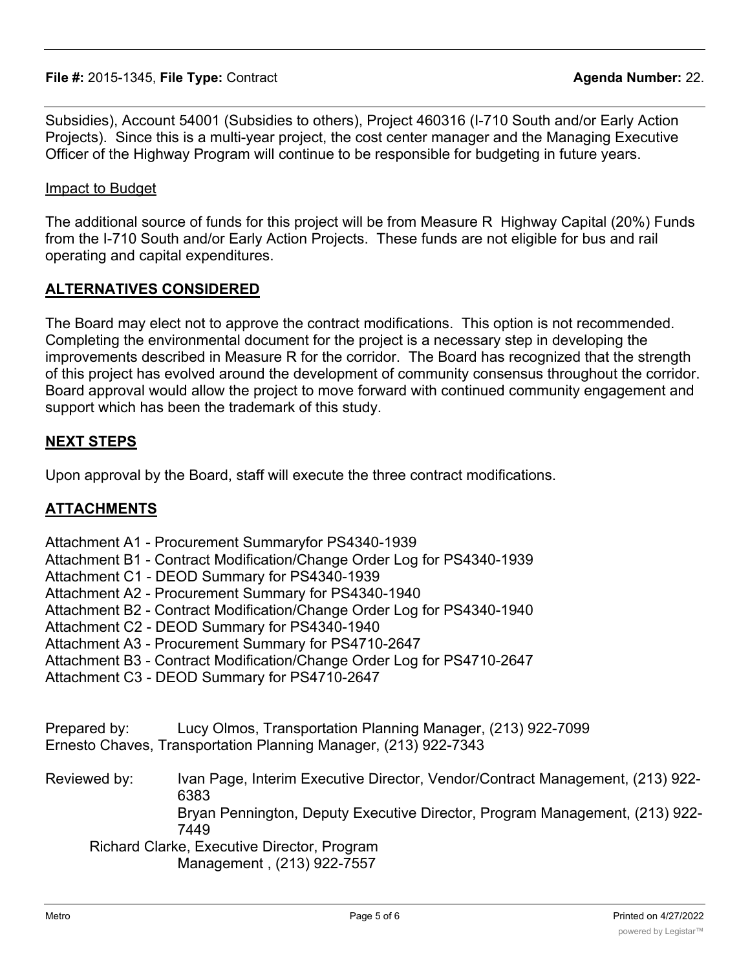Subsidies), Account 54001 (Subsidies to others), Project 460316 (I-710 South and/or Early Action Projects). Since this is a multi-year project, the cost center manager and the Managing Executive Officer of the Highway Program will continue to be responsible for budgeting in future years.

#### Impact to Budget

The additional source of funds for this project will be from Measure R Highway Capital (20%) Funds from the I-710 South and/or Early Action Projects. These funds are not eligible for bus and rail operating and capital expenditures.

### **ALTERNATIVES CONSIDERED**

The Board may elect not to approve the contract modifications. This option is not recommended. Completing the environmental document for the project is a necessary step in developing the improvements described in Measure R for the corridor. The Board has recognized that the strength of this project has evolved around the development of community consensus throughout the corridor. Board approval would allow the project to move forward with continued community engagement and support which has been the trademark of this study.

### **NEXT STEPS**

Upon approval by the Board, staff will execute the three contract modifications.

### **ATTACHMENTS**

- Attachment A1 Procurement Summaryfor PS4340-1939
- Attachment B1 Contract Modification/Change Order Log for PS4340-1939
- Attachment C1 DEOD Summary for PS4340-1939
- Attachment A2 Procurement Summary for PS4340-1940
- Attachment B2 Contract Modification/Change Order Log for PS4340-1940
- Attachment C2 DEOD Summary for PS4340-1940
- Attachment A3 Procurement Summary for PS4710-2647
- Attachment B3 Contract Modification/Change Order Log for PS4710-2647
- Attachment C3 DEOD Summary for PS4710-2647
- Prepared by: Lucy Olmos, Transportation Planning Manager, (213) 922-7099
- Ernesto Chaves, Transportation Planning Manager, (213) 922-7343
- Reviewed by: Ivan Page, Interim Executive Director, Vendor/Contract Management, (213) 922- 6383

Bryan Pennington, Deputy Executive Director, Program Management, (213) 922- 7449

Richard Clarke, Executive Director, Program Management , (213) 922-7557